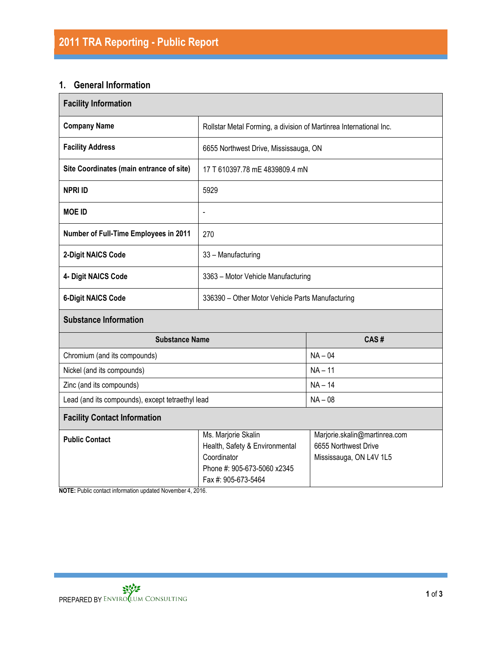# **1. General Information**

| <b>Facility Information</b>                      |                                                                                                                            |                                                                                  |  |  |  |  |
|--------------------------------------------------|----------------------------------------------------------------------------------------------------------------------------|----------------------------------------------------------------------------------|--|--|--|--|
| <b>Company Name</b>                              | Rollstar Metal Forming, a division of Martinrea International Inc.                                                         |                                                                                  |  |  |  |  |
| <b>Facility Address</b>                          | 6655 Northwest Drive, Mississauga, ON                                                                                      |                                                                                  |  |  |  |  |
| Site Coordinates (main entrance of site)         | 17 T 610397.78 mE 4839809.4 mN                                                                                             |                                                                                  |  |  |  |  |
| <b>NPRI ID</b>                                   | 5929                                                                                                                       |                                                                                  |  |  |  |  |
| <b>MOE ID</b>                                    | $\overline{\phantom{0}}$                                                                                                   |                                                                                  |  |  |  |  |
| Number of Full-Time Employees in 2011            | 270                                                                                                                        |                                                                                  |  |  |  |  |
| 2-Digit NAICS Code                               | 33 - Manufacturing                                                                                                         |                                                                                  |  |  |  |  |
| 4- Digit NAICS Code                              | 3363 - Motor Vehicle Manufacturing                                                                                         |                                                                                  |  |  |  |  |
| <b>6-Digit NAICS Code</b>                        | 336390 - Other Motor Vehicle Parts Manufacturing                                                                           |                                                                                  |  |  |  |  |
| <b>Substance Information</b>                     |                                                                                                                            |                                                                                  |  |  |  |  |
| <b>Substance Name</b>                            |                                                                                                                            | CAS#                                                                             |  |  |  |  |
| Chromium (and its compounds)                     |                                                                                                                            | $NA - 04$                                                                        |  |  |  |  |
| Nickel (and its compounds)                       |                                                                                                                            | $NA - 11$                                                                        |  |  |  |  |
| Zinc (and its compounds)                         |                                                                                                                            | $NA - 14$                                                                        |  |  |  |  |
| Lead (and its compounds), except tetraethyl lead |                                                                                                                            | $NA - 08$                                                                        |  |  |  |  |
| <b>Facility Contact Information</b>              |                                                                                                                            |                                                                                  |  |  |  |  |
| <b>Public Contact</b>                            | Ms. Marjorie Skalin<br>Health, Safety & Environmental<br>Coordinator<br>Phone #: 905-673-5060 x2345<br>Fax #: 905-673-5464 | Marjorie.skalin@martinrea.com<br>6655 Northwest Drive<br>Mississauga, ON L4V 1L5 |  |  |  |  |

**NOTE:** Public contact information updated November 4, 2016.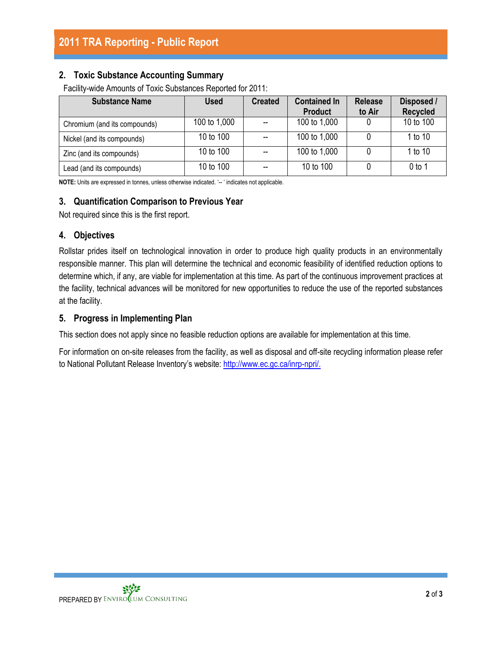# **2. Toxic Substance Accounting Summary**

Facility-wide Amounts of Toxic Substances Reported for 2011:

| <b>Substance Name</b>        | <b>Used</b>  | <b>Created</b> | <b>Contained In</b><br><b>Product</b> | <b>Release</b><br>to Air | Disposed /<br><b>Recycled</b> |
|------------------------------|--------------|----------------|---------------------------------------|--------------------------|-------------------------------|
| Chromium (and its compounds) | 100 to 1,000 |                | 100 to 1,000                          |                          | 10 to 100                     |
| Nickel (and its compounds)   | 10 to 100    |                | 100 to 1,000                          |                          | 1 to 10                       |
| Zinc (and its compounds)     | 10 to 100    | --             | 100 to 1,000                          |                          | 1 to 10                       |
| Lead (and its compounds)     | 10 to 100    |                | 10 to 100                             |                          | $0$ to 1                      |

**NOTE:** Units are expressed in tonnes, unless otherwise indicated. '-- ' indicates not applicable.

# **3. Quantification Comparison to Previous Year**

Not required since this is the first report.

### **4. Objectives**

Rollstar prides itself on technological innovation in order to produce high quality products in an environmentally responsible manner. This plan will determine the technical and economic feasibility of identified reduction options to determine which, if any, are viable for implementation at this time. As part of the continuous improvement practices at the facility, technical advances will be monitored for new opportunities to reduce the use of the reported substances at the facility.

### **5. Progress in Implementing Plan**

This section does not apply since no feasible reduction options are available for implementation at this time.

For information on on-site releases from the facility, as well as disposal and off-site recycling information please refer to National Pollutant Release Inventory's website: [http://www.ec.gc.ca/inrp-npri/.](http://www.ec.gc.ca/inrp-npri/)